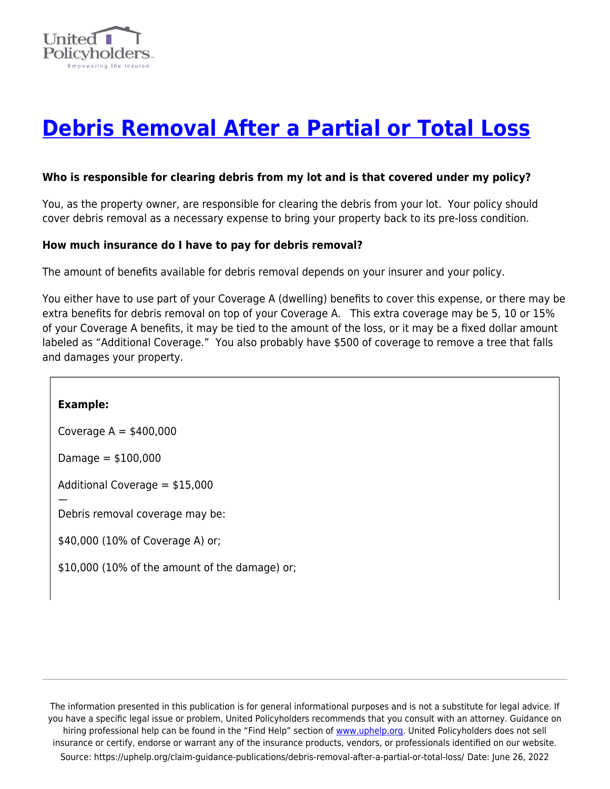

# **[Debris Removal After a Partial or Total Loss](https://uphelp.org/claim-guidance-publications/debris-removal-after-a-partial-or-total-loss/)**

#### **Who is responsible for clearing debris from my lot and is that covered under my policy?**

You, as the property owner, are responsible for clearing the debris from your lot. Your policy should cover debris removal as a necessary expense to bring your property back to its pre-loss condition.

#### **How much insurance do I have to pay for debris removal?**

The amount of benefits available for debris removal depends on your insurer and your policy.

You either have to use part of your Coverage A (dwelling) benefits to cover this expense, or there may be extra benefits for debris removal on top of your Coverage A. This extra coverage may be 5, 10 or 15% of your Coverage A benefits, it may be tied to the amount of the loss, or it may be a fixed dollar amount labeled as "Additional Coverage." You also probably have \$500 of coverage to remove a tree that falls and damages your property.

#### **Example:**

—

Coverage  $A = $400,000$ 

 $$D$ amage = $100,000$ 

Additional Coverage = \$15,000

Debris removal coverage may be:

\$40,000 (10% of Coverage A) or;

\$10,000 (10% of the amount of the damage) or;

The information presented in this publication is for general informational purposes and is not a substitute for legal advice. If you have a specific legal issue or problem, United Policyholders recommends that you consult with an attorney. Guidance on hiring professional help can be found in the "Find Help" section of [www.uphelp.org.](http://www.uphelp.org/) United Policyholders does not sell insurance or certify, endorse or warrant any of the insurance products, vendors, or professionals identified on our website. Source: https://uphelp.org/claim-guidance-publications/debris-removal-after-a-partial-or-total-loss/ Date: June 26, 2022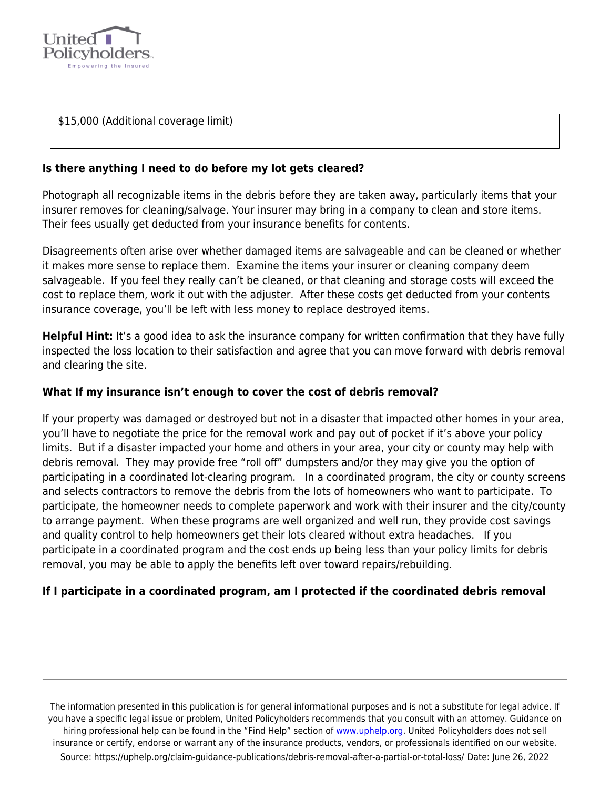

\$15,000 (Additional coverage limit)

# **Is there anything I need to do before my lot gets cleared?**

Photograph all recognizable items in the debris before they are taken away, particularly items that your insurer removes for cleaning/salvage. Your insurer may bring in a company to clean and store items. Their fees usually get deducted from your insurance benefits for contents.

Disagreements often arise over whether damaged items are salvageable and can be cleaned or whether it makes more sense to replace them. Examine the items your insurer or cleaning company deem salvageable. If you feel they really can't be cleaned, or that cleaning and storage costs will exceed the cost to replace them, work it out with the adjuster. After these costs get deducted from your contents insurance coverage, you'll be left with less money to replace destroyed items.

**Helpful Hint:** It's a good idea to ask the insurance company for written confirmation that they have fully inspected the loss location to their satisfaction and agree that you can move forward with debris removal and clearing the site.

# **What If my insurance isn't enough to cover the cost of debris removal?**

If your property was damaged or destroyed but not in a disaster that impacted other homes in your area, you'll have to negotiate the price for the removal work and pay out of pocket if it's above your policy limits. But if a disaster impacted your home and others in your area, your city or county may help with debris removal. They may provide free "roll off" dumpsters and/or they may give you the option of participating in a coordinated lot-clearing program. In a coordinated program, the city or county screens and selects contractors to remove the debris from the lots of homeowners who want to participate. To participate, the homeowner needs to complete paperwork and work with their insurer and the city/county to arrange payment. When these programs are well organized and well run, they provide cost savings and quality control to help homeowners get their lots cleared without extra headaches. If you participate in a coordinated program and the cost ends up being less than your policy limits for debris removal, you may be able to apply the benefits left over toward repairs/rebuilding.

# **If I participate in a coordinated program, am I protected if the coordinated debris removal**

The information presented in this publication is for general informational purposes and is not a substitute for legal advice. If you have a specific legal issue or problem, United Policyholders recommends that you consult with an attorney. Guidance on hiring professional help can be found in the "Find Help" section of [www.uphelp.org.](http://www.uphelp.org/) United Policyholders does not sell insurance or certify, endorse or warrant any of the insurance products, vendors, or professionals identified on our website. Source: https://uphelp.org/claim-guidance-publications/debris-removal-after-a-partial-or-total-loss/ Date: June 26, 2022